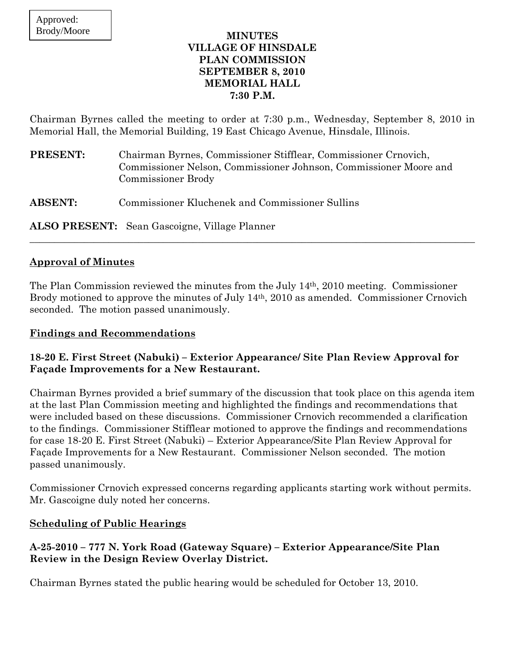### **MINUTES VILLAGE OF HINSDALE PLAN COMMISSION SEPTEMBER 8, 2010 MEMORIAL HALL 7:30 P.M.**

Chairman Byrnes called the meeting to order at 7:30 p.m., Wednesday, September 8, 2010 in Memorial Hall, the Memorial Building, 19 East Chicago Avenue, Hinsdale, Illinois.

| <b>PRESENT:</b> | Chairman Byrnes, Commissioner Stifflear, Commissioner Crnovich,<br>Commissioner Nelson, Commissioner Johnson, Commissioner Moore and<br>Commissioner Brody |
|-----------------|------------------------------------------------------------------------------------------------------------------------------------------------------------|
| <b>ABSENT:</b>  | Commissioner Kluchenek and Commissioner Sullins                                                                                                            |

**ALSO PRESENT:** Sean Gascoigne, Village Planner

## **Approval of Minutes**

The Plan Commission reviewed the minutes from the July 14th, 2010 meeting. Commissioner Brody motioned to approve the minutes of July 14th, 2010 as amended. Commissioner Crnovich seconded. The motion passed unanimously.

 $\_$  , and the set of the set of the set of the set of the set of the set of the set of the set of the set of the set of the set of the set of the set of the set of the set of the set of the set of the set of the set of th

### **Findings and Recommendations**

## **18-20 E. First Street (Nabuki) – Exterior Appearance/ Site Plan Review Approval for Façade Improvements for a New Restaurant.**

Chairman Byrnes provided a brief summary of the discussion that took place on this agenda item at the last Plan Commission meeting and highlighted the findings and recommendations that were included based on these discussions. Commissioner Crnovich recommended a clarification to the findings. Commissioner Stifflear motioned to approve the findings and recommendations for case 18-20 E. First Street (Nabuki) – Exterior Appearance/Site Plan Review Approval for Façade Improvements for a New Restaurant. Commissioner Nelson seconded. The motion passed unanimously.

Commissioner Crnovich expressed concerns regarding applicants starting work without permits. Mr. Gascoigne duly noted her concerns.

### **Scheduling of Public Hearings**

## **A-25-2010 – 777 N. York Road (Gateway Square) – Exterior Appearance/Site Plan Review in the Design Review Overlay District.**

Chairman Byrnes stated the public hearing would be scheduled for October 13, 2010.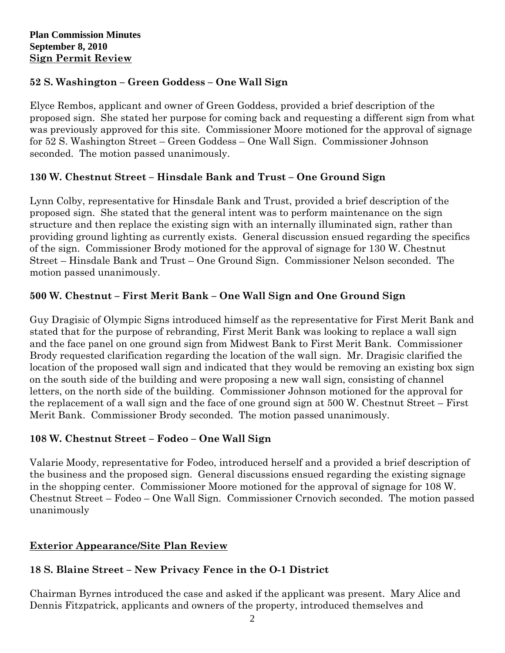# **52 S. Washington – Green Goddess – One Wall Sign**

Elyce Rembos, applicant and owner of Green Goddess, provided a brief description of the proposed sign. She stated her purpose for coming back and requesting a different sign from what was previously approved for this site. Commissioner Moore motioned for the approval of signage for 52 S. Washington Street – Green Goddess – One Wall Sign. Commissioner Johnson seconded. The motion passed unanimously.

# **130 W. Chestnut Street – Hinsdale Bank and Trust – One Ground Sign**

Lynn Colby, representative for Hinsdale Bank and Trust, provided a brief description of the proposed sign. She stated that the general intent was to perform maintenance on the sign structure and then replace the existing sign with an internally illuminated sign, rather than providing ground lighting as currently exists. General discussion ensued regarding the specifics of the sign. Commissioner Brody motioned for the approval of signage for 130 W. Chestnut Street – Hinsdale Bank and Trust – One Ground Sign. Commissioner Nelson seconded. The motion passed unanimously.

# **500 W. Chestnut – First Merit Bank – One Wall Sign and One Ground Sign**

Guy Dragisic of Olympic Signs introduced himself as the representative for First Merit Bank and stated that for the purpose of rebranding, First Merit Bank was looking to replace a wall sign and the face panel on one ground sign from Midwest Bank to First Merit Bank. Commissioner Brody requested clarification regarding the location of the wall sign. Mr. Dragisic clarified the location of the proposed wall sign and indicated that they would be removing an existing box sign on the south side of the building and were proposing a new wall sign, consisting of channel letters, on the north side of the building. Commissioner Johnson motioned for the approval for the replacement of a wall sign and the face of one ground sign at 500 W. Chestnut Street – First Merit Bank. Commissioner Brody seconded. The motion passed unanimously.

# **108 W. Chestnut Street – Fodeo – One Wall Sign**

Valarie Moody, representative for Fodeo, introduced herself and a provided a brief description of the business and the proposed sign. General discussions ensued regarding the existing signage in the shopping center. Commissioner Moore motioned for the approval of signage for 108 W. Chestnut Street – Fodeo – One Wall Sign. Commissioner Crnovich seconded. The motion passed unanimously

# **Exterior Appearance/Site Plan Review**

# **18 S. Blaine Street – New Privacy Fence in the O-1 District**

Chairman Byrnes introduced the case and asked if the applicant was present. Mary Alice and Dennis Fitzpatrick, applicants and owners of the property, introduced themselves and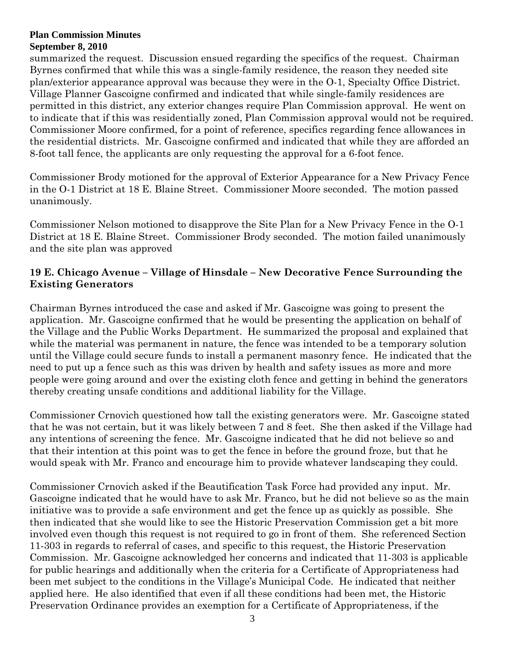summarized the request. Discussion ensued regarding the specifics of the request. Chairman Byrnes confirmed that while this was a single-family residence, the reason they needed site plan/exterior appearance approval was because they were in the O-1, Specialty Office District. Village Planner Gascoigne confirmed and indicated that while single-family residences are permitted in this district, any exterior changes require Plan Commission approval. He went on to indicate that if this was residentially zoned, Plan Commission approval would not be required. Commissioner Moore confirmed, for a point of reference, specifics regarding fence allowances in the residential districts. Mr. Gascoigne confirmed and indicated that while they are afforded an 8-foot tall fence, the applicants are only requesting the approval for a 6-foot fence.

Commissioner Brody motioned for the approval of Exterior Appearance for a New Privacy Fence in the O-1 District at 18 E. Blaine Street. Commissioner Moore seconded. The motion passed unanimously.

Commissioner Nelson motioned to disapprove the Site Plan for a New Privacy Fence in the O-1 District at 18 E. Blaine Street. Commissioner Brody seconded. The motion failed unanimously and the site plan was approved

## **19 E. Chicago Avenue – Village of Hinsdale – New Decorative Fence Surrounding the Existing Generators**

Chairman Byrnes introduced the case and asked if Mr. Gascoigne was going to present the application. Mr. Gascoigne confirmed that he would be presenting the application on behalf of the Village and the Public Works Department. He summarized the proposal and explained that while the material was permanent in nature, the fence was intended to be a temporary solution until the Village could secure funds to install a permanent masonry fence. He indicated that the need to put up a fence such as this was driven by health and safety issues as more and more people were going around and over the existing cloth fence and getting in behind the generators thereby creating unsafe conditions and additional liability for the Village.

Commissioner Crnovich questioned how tall the existing generators were. Mr. Gascoigne stated that he was not certain, but it was likely between 7 and 8 feet. She then asked if the Village had any intentions of screening the fence. Mr. Gascoigne indicated that he did not believe so and that their intention at this point was to get the fence in before the ground froze, but that he would speak with Mr. Franco and encourage him to provide whatever landscaping they could.

Commissioner Crnovich asked if the Beautification Task Force had provided any input. Mr. Gascoigne indicated that he would have to ask Mr. Franco, but he did not believe so as the main initiative was to provide a safe environment and get the fence up as quickly as possible. She then indicated that she would like to see the Historic Preservation Commission get a bit more involved even though this request is not required to go in front of them. She referenced Section 11-303 in regards to referral of cases, and specific to this request, the Historic Preservation Commission. Mr. Gascoigne acknowledged her concerns and indicated that 11-303 is applicable for public hearings and additionally when the criteria for a Certificate of Appropriateness had been met subject to the conditions in the Village's Municipal Code. He indicated that neither applied here. He also identified that even if all these conditions had been met, the Historic Preservation Ordinance provides an exemption for a Certificate of Appropriateness, if the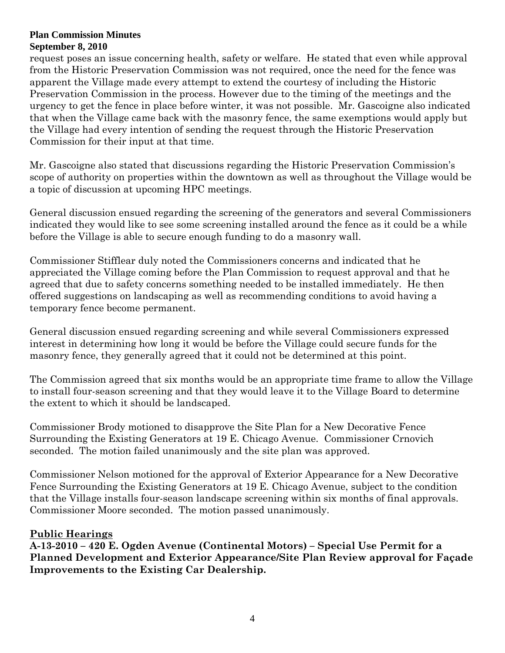request poses an issue concerning health, safety or welfare. He stated that even while approval from the Historic Preservation Commission was not required, once the need for the fence was apparent the Village made every attempt to extend the courtesy of including the Historic Preservation Commission in the process. However due to the timing of the meetings and the urgency to get the fence in place before winter, it was not possible. Mr. Gascoigne also indicated that when the Village came back with the masonry fence, the same exemptions would apply but the Village had every intention of sending the request through the Historic Preservation Commission for their input at that time.

Mr. Gascoigne also stated that discussions regarding the Historic Preservation Commission's scope of authority on properties within the downtown as well as throughout the Village would be a topic of discussion at upcoming HPC meetings.

General discussion ensued regarding the screening of the generators and several Commissioners indicated they would like to see some screening installed around the fence as it could be a while before the Village is able to secure enough funding to do a masonry wall.

Commissioner Stifflear duly noted the Commissioners concerns and indicated that he appreciated the Village coming before the Plan Commission to request approval and that he agreed that due to safety concerns something needed to be installed immediately. He then offered suggestions on landscaping as well as recommending conditions to avoid having a temporary fence become permanent.

General discussion ensued regarding screening and while several Commissioners expressed interest in determining how long it would be before the Village could secure funds for the masonry fence, they generally agreed that it could not be determined at this point.

The Commission agreed that six months would be an appropriate time frame to allow the Village to install four-season screening and that they would leave it to the Village Board to determine the extent to which it should be landscaped.

Commissioner Brody motioned to disapprove the Site Plan for a New Decorative Fence Surrounding the Existing Generators at 19 E. Chicago Avenue. Commissioner Crnovich seconded. The motion failed unanimously and the site plan was approved.

Commissioner Nelson motioned for the approval of Exterior Appearance for a New Decorative Fence Surrounding the Existing Generators at 19 E. Chicago Avenue, subject to the condition that the Village installs four-season landscape screening within six months of final approvals. Commissioner Moore seconded. The motion passed unanimously.

## **Public Hearings**

**A-13-2010 – 420 E. Ogden Avenue (Continental Motors) – Special Use Permit for a Planned Development and Exterior Appearance/Site Plan Review approval for Façade Improvements to the Existing Car Dealership.**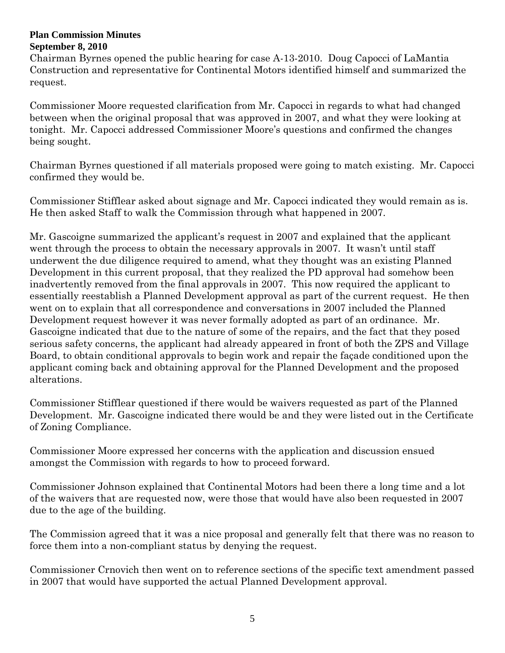Chairman Byrnes opened the public hearing for case A-13-2010. Doug Capocci of LaMantia Construction and representative for Continental Motors identified himself and summarized the request.

Commissioner Moore requested clarification from Mr. Capocci in regards to what had changed between when the original proposal that was approved in 2007, and what they were looking at tonight. Mr. Capocci addressed Commissioner Moore's questions and confirmed the changes being sought.

Chairman Byrnes questioned if all materials proposed were going to match existing. Mr. Capocci confirmed they would be.

Commissioner Stifflear asked about signage and Mr. Capocci indicated they would remain as is. He then asked Staff to walk the Commission through what happened in 2007.

Mr. Gascoigne summarized the applicant's request in 2007 and explained that the applicant went through the process to obtain the necessary approvals in 2007. It wasn't until staff underwent the due diligence required to amend, what they thought was an existing Planned Development in this current proposal, that they realized the PD approval had somehow been inadvertently removed from the final approvals in 2007. This now required the applicant to essentially reestablish a Planned Development approval as part of the current request. He then went on to explain that all correspondence and conversations in 2007 included the Planned Development request however it was never formally adopted as part of an ordinance. Mr. Gascoigne indicated that due to the nature of some of the repairs, and the fact that they posed serious safety concerns, the applicant had already appeared in front of both the ZPS and Village Board, to obtain conditional approvals to begin work and repair the façade conditioned upon the applicant coming back and obtaining approval for the Planned Development and the proposed alterations.

Commissioner Stifflear questioned if there would be waivers requested as part of the Planned Development. Mr. Gascoigne indicated there would be and they were listed out in the Certificate of Zoning Compliance.

Commissioner Moore expressed her concerns with the application and discussion ensued amongst the Commission with regards to how to proceed forward.

Commissioner Johnson explained that Continental Motors had been there a long time and a lot of the waivers that are requested now, were those that would have also been requested in 2007 due to the age of the building.

The Commission agreed that it was a nice proposal and generally felt that there was no reason to force them into a non-compliant status by denying the request.

Commissioner Crnovich then went on to reference sections of the specific text amendment passed in 2007 that would have supported the actual Planned Development approval.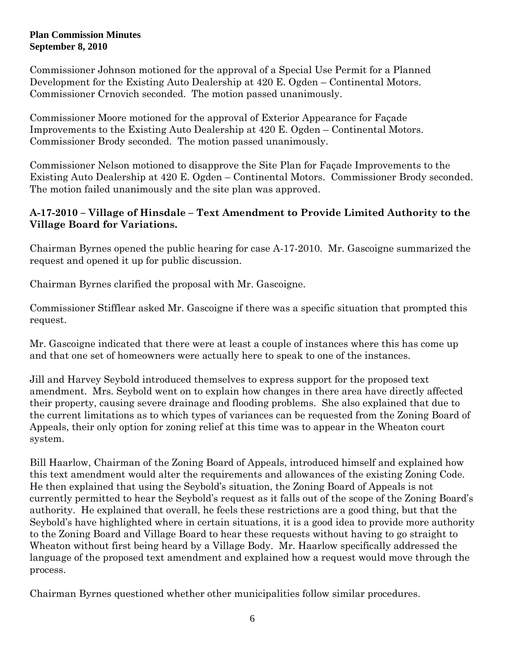Commissioner Johnson motioned for the approval of a Special Use Permit for a Planned Development for the Existing Auto Dealership at 420 E. Ogden – Continental Motors. Commissioner Crnovich seconded. The motion passed unanimously.

Commissioner Moore motioned for the approval of Exterior Appearance for Façade Improvements to the Existing Auto Dealership at 420 E. Ogden – Continental Motors. Commissioner Brody seconded. The motion passed unanimously.

Commissioner Nelson motioned to disapprove the Site Plan for Façade Improvements to the Existing Auto Dealership at 420 E. Ogden – Continental Motors. Commissioner Brody seconded. The motion failed unanimously and the site plan was approved.

## **A-17-2010 – Village of Hinsdale – Text Amendment to Provide Limited Authority to the Village Board for Variations.**

Chairman Byrnes opened the public hearing for case A-17-2010. Mr. Gascoigne summarized the request and opened it up for public discussion.

Chairman Byrnes clarified the proposal with Mr. Gascoigne.

Commissioner Stifflear asked Mr. Gascoigne if there was a specific situation that prompted this request.

Mr. Gascoigne indicated that there were at least a couple of instances where this has come up and that one set of homeowners were actually here to speak to one of the instances.

Jill and Harvey Seybold introduced themselves to express support for the proposed text amendment. Mrs. Seybold went on to explain how changes in there area have directly affected their property, causing severe drainage and flooding problems. She also explained that due to the current limitations as to which types of variances can be requested from the Zoning Board of Appeals, their only option for zoning relief at this time was to appear in the Wheaton court system.

Bill Haarlow, Chairman of the Zoning Board of Appeals, introduced himself and explained how this text amendment would alter the requirements and allowances of the existing Zoning Code. He then explained that using the Seybold's situation, the Zoning Board of Appeals is not currently permitted to hear the Seybold's request as it falls out of the scope of the Zoning Board's authority. He explained that overall, he feels these restrictions are a good thing, but that the Seybold's have highlighted where in certain situations, it is a good idea to provide more authority to the Zoning Board and Village Board to hear these requests without having to go straight to Wheaton without first being heard by a Village Body. Mr. Haarlow specifically addressed the language of the proposed text amendment and explained how a request would move through the process.

Chairman Byrnes questioned whether other municipalities follow similar procedures.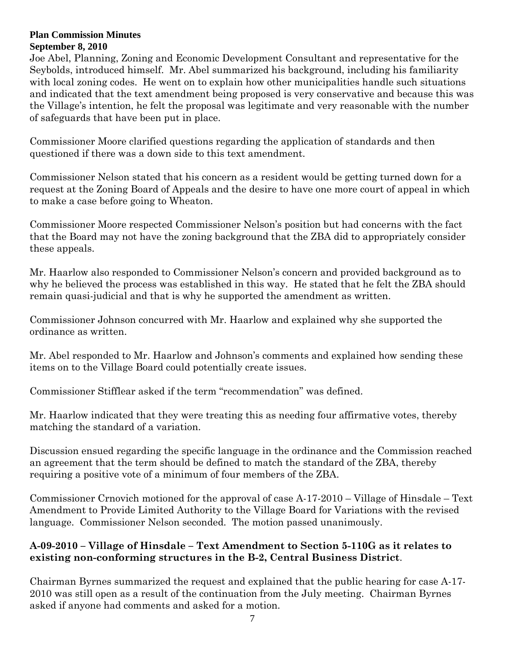Joe Abel, Planning, Zoning and Economic Development Consultant and representative for the Seybolds, introduced himself. Mr. Abel summarized his background, including his familiarity with local zoning codes. He went on to explain how other municipalities handle such situations and indicated that the text amendment being proposed is very conservative and because this was the Village's intention, he felt the proposal was legitimate and very reasonable with the number of safeguards that have been put in place.

Commissioner Moore clarified questions regarding the application of standards and then questioned if there was a down side to this text amendment.

Commissioner Nelson stated that his concern as a resident would be getting turned down for a request at the Zoning Board of Appeals and the desire to have one more court of appeal in which to make a case before going to Wheaton.

Commissioner Moore respected Commissioner Nelson's position but had concerns with the fact that the Board may not have the zoning background that the ZBA did to appropriately consider these appeals.

Mr. Haarlow also responded to Commissioner Nelson's concern and provided background as to why he believed the process was established in this way. He stated that he felt the ZBA should remain quasi-judicial and that is why he supported the amendment as written.

Commissioner Johnson concurred with Mr. Haarlow and explained why she supported the ordinance as written.

Mr. Abel responded to Mr. Haarlow and Johnson's comments and explained how sending these items on to the Village Board could potentially create issues.

Commissioner Stifflear asked if the term "recommendation" was defined.

Mr. Haarlow indicated that they were treating this as needing four affirmative votes, thereby matching the standard of a variation.

Discussion ensued regarding the specific language in the ordinance and the Commission reached an agreement that the term should be defined to match the standard of the ZBA, thereby requiring a positive vote of a minimum of four members of the ZBA.

Commissioner Crnovich motioned for the approval of case A-17-2010 – Village of Hinsdale – Text Amendment to Provide Limited Authority to the Village Board for Variations with the revised language. Commissioner Nelson seconded. The motion passed unanimously.

# **A-09-2010 – Village of Hinsdale – Text Amendment to Section 5-110G as it relates to existing non-conforming structures in the B-2, Central Business District**.

Chairman Byrnes summarized the request and explained that the public hearing for case A-17- 2010 was still open as a result of the continuation from the July meeting. Chairman Byrnes asked if anyone had comments and asked for a motion.